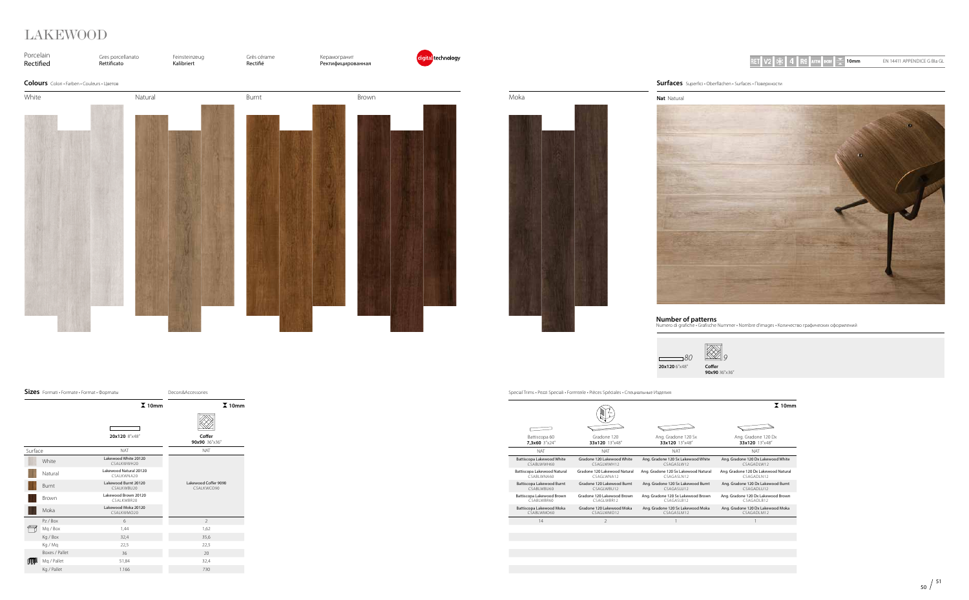| Battiscopa 60<br>7.3x60 3"x24" | 4 cm<br>Gradone 120<br>33x120 13"x48" |
|--------------------------------|---------------------------------------|
| NAT                            | <b>NAT</b>                            |
| Battiscopa Lakewood White      | Gradone 120 Lakewood White            |
| CSABI WWH60                    | CSAGI WWH12                           |
| Battiscopa Lakewood Natural    | Gradone 120 Lakewood Natural          |
| CSARI WNA60                    | CSAGI WNA12                           |
| Battiscopa Lakewood Burnt      | Gradone 120 Lakewood Burnt            |
| CSABI WBU60                    | CSAGI WBU12                           |
| Battiscopa Lakewood Brown      | Gradone 120 Lakewood Brown            |
| CSABI WBR60                    | CSAGI WBR12                           |
| Battiscopa Lakewood Moka       | Gradone 120 Lakewood Moka             |
| CSABI WMO60                    | CSAGLWMO12                            |
| 14                             | $\mathcal{I}$                         |
|                                |                                       |

|  |  |  |  | RET V2 $\ket*{4}$ R9 astm dcof $\equiv$ |  |  |  | 10 <sub>mm</sub> |
|--|--|--|--|-----------------------------------------|--|--|--|------------------|
|--|--|--|--|-----------------------------------------|--|--|--|------------------|





Special Trims • Pezzi Speciali • Formteile • Pièces Spéciales • Специальные Изделия

**Number of patterns** Numero di grafiche • Grafische Nummer • Nombre d'images • Количество графических оформлений







**90x90** 36"x36"

### **Nat** Natural



**10mm** EN 14411 APPENDICE G BIa GL

# LAKEWOOD